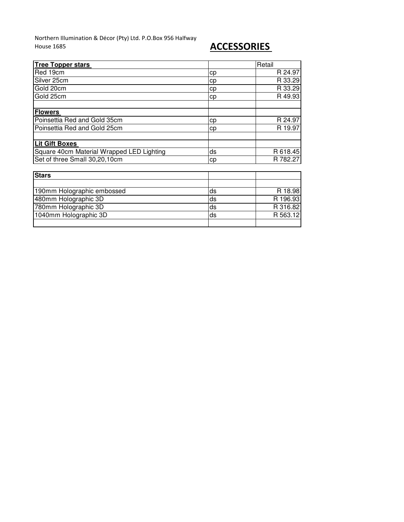Northern Illumination & Décor (Pty) Ltd. P.O.Box 956 Halfway House 1685 **ACCESSORIES** 

| <b>Tree Topper stars</b>                  |    | Retail   |
|-------------------------------------------|----|----------|
| Red 19cm                                  | cp | R 24.97  |
| Silver 25cm                               | cp | R 33.29  |
| Gold 20cm                                 | cp | R 33.29  |
| Gold 25cm                                 | cp | R 49.93  |
|                                           |    |          |
| <b>Flowers</b>                            |    |          |
| Poinsettia Red and Gold 35cm              | cp | R 24.97  |
| Poinsettia Red and Gold 25cm              | cp | R 19.97  |
|                                           |    |          |
| <b>Lit Gift Boxes</b>                     |    |          |
| Square 40cm Material Wrapped LED Lighting | ds | R 618.45 |
| Set of three Small 30,20,10cm             | cр | R 782.27 |
|                                           |    |          |
| <b>Stars</b>                              |    |          |
|                                           |    |          |
| 190mm Holographic embossed                | ds | R 18.98  |
| 480mm Holographic 3D                      | ds | R 196.93 |
| 780mm Holographic 3D                      | ds | R 316.82 |
| 1040mm Holographic 3D                     | ds | R 563.12 |
|                                           |    |          |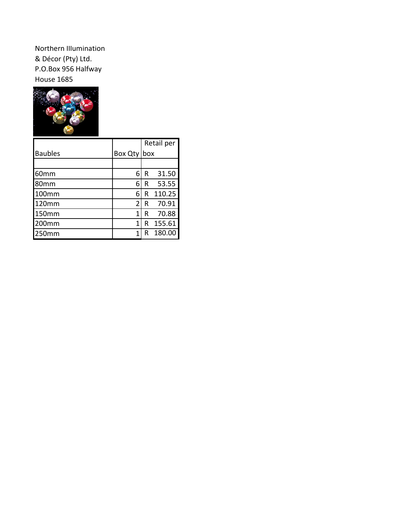Northern Illumination & Décor (Pty) Ltd. P.O.Box 956 Halfway House 1685



|                |                | Retail per |        |  |
|----------------|----------------|------------|--------|--|
| <b>Baubles</b> | <b>Box Qty</b> | box        |        |  |
|                |                |            |        |  |
| 60mm           | 6              | R          | 31.50  |  |
| 80mm           | 6              | R          | 53.55  |  |
| 100mm          | 6              | R          | 110.25 |  |
| 120mm          | 2              | R          | 70.91  |  |
| <b>150mm</b>   | 1              | R          | 70.88  |  |
| 200mm          | 1              | R          | 155.61 |  |
| 250mm          |                | R          | 180.00 |  |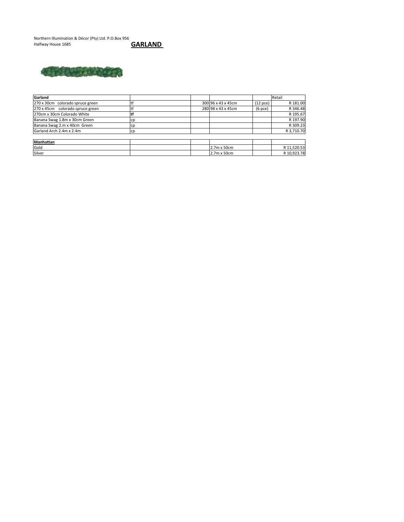Northern Illumination & Décor (Pty) Ltd. P.O.Box 956<br>Halfway House 1685 **GARLAND** 





| Garland                          |    |                    |               | Retail      |
|----------------------------------|----|--------------------|---------------|-------------|
| 270 x 30cm colorado spruce green |    | 300 96 x 43 x 45cm | $(12$ pce $)$ | R 181.00    |
| 270 x 45cm colorado spruce green |    | 280 98 x 43 x 45cm | $(6$ pce $)$  | R 346.48    |
| 270cm x 30cm Colorado White      |    |                    |               | R 195.67    |
| Banana Swag 1.8m x 30cm Green    |    |                    |               | R 197.90    |
| Banana Swag 2.m x 40cm Green     |    |                    |               | R 309.23    |
| Garland Arch 2.4m x 2.4m         | cp |                    |               | R 3,710.70  |
|                                  |    |                    |               |             |
| <b>Manhattan</b>                 |    |                    |               |             |
| Gold                             |    | 2.7m x 50cm        |               | R 11,520.53 |
| Silver                           |    | 2.7m x 50cm        |               | R 10,923.78 |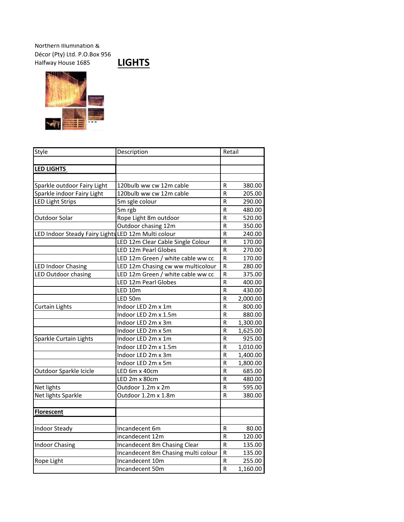## Northern Illumination & Décor (Pty) Ltd. P.O.Box 956 Halfway House 1685 **LIGHTS**





| Style                                               | Description                         |                         | Retail          |  |  |
|-----------------------------------------------------|-------------------------------------|-------------------------|-----------------|--|--|
|                                                     |                                     |                         |                 |  |  |
| <b>LED LIGHTS</b>                                   |                                     |                         |                 |  |  |
|                                                     |                                     |                         |                 |  |  |
| Sparkle outdoor Fairy Light                         | 120bulb ww cw 12m cable             | R                       | 380.00          |  |  |
| Sparkle indoor Fairy Light                          | 120bulb ww cw 12m cable             | R                       | 205.00          |  |  |
| <b>LED Light Strips</b>                             | 5m sgle colour                      | R                       | 290.00          |  |  |
|                                                     | 5m rgb                              | $\overline{\mathsf{R}}$ | 480.00          |  |  |
| <b>Outdoor Solar</b>                                | Rope Light 8m outdoor               | R                       | 520.00          |  |  |
|                                                     | Outdoor chasing 12m                 | $\mathsf R$             | 350.00          |  |  |
| LED Indoor Steady Fairy Lights LED 12m Multi colour |                                     | $\mathsf R$             | 240.00          |  |  |
|                                                     | LED 12m Clear Cable Single Colour   | ${\sf R}$               | 170.00          |  |  |
|                                                     | LED 12m Pearl Globes                | R                       | 270.00          |  |  |
|                                                     | LED 12m Green / white cable ww cc   | ${\sf R}$               | 170.00          |  |  |
| <b>LED Indoor Chasing</b>                           | LED 12m Chasing cw ww multicolour   | $\mathsf R$             | 280.00          |  |  |
| LED Outdoor chasing                                 | LED 12m Green / white cable ww cc   | ${\sf R}$               | 375.00          |  |  |
|                                                     | LED 12m Pearl Globes                | R                       | 400.00          |  |  |
|                                                     | LED 10m                             | R                       | 430.00          |  |  |
|                                                     | LED 50m                             | ${\sf R}$               | 2,000.00        |  |  |
| <b>Curtain Lights</b>                               | Indoor LED 2m x 1m                  | R                       | 800.00          |  |  |
|                                                     | Indoor LED 2m x 1.5m                | R                       | 880.00          |  |  |
|                                                     | Indoor LED 2m x 3m                  | R                       | 1,300.00        |  |  |
|                                                     | Indoor LED 2m x 5m                  | R                       | 1,625.00        |  |  |
| Sparkle Curtain Lights                              | Indoor LED 2m x 1m                  | ${\sf R}$               | 925.00          |  |  |
|                                                     | Indoor LED 2m x 1.5m                | ${\sf R}$               | 1,010.00        |  |  |
|                                                     | Indoor LED 2m x 3m                  | R                       | 1,400.00        |  |  |
|                                                     | Indoor LED 2m x 5m                  | ${\sf R}$               | 1,800.00        |  |  |
| Outdoor Sparkle Icicle                              | LED 6m x 40cm                       | R                       | 685.00          |  |  |
|                                                     | LED 2m x 80cm                       | R                       | 480.00          |  |  |
| Net lights                                          | Outdoor 1.2m x 2m                   | R                       | 595.00          |  |  |
| Net lights Sparkle                                  | Outdoor 1.2m x 1.8m                 | R                       | 380.00          |  |  |
|                                                     |                                     |                         |                 |  |  |
| <b>Florescent</b>                                   |                                     |                         |                 |  |  |
| <b>Indoor Steady</b>                                | Incandecent 6m                      |                         |                 |  |  |
|                                                     |                                     | R<br>R                  | 80.00<br>120.00 |  |  |
|                                                     | incandecent 12m                     |                         |                 |  |  |
| <b>Indoor Chasing</b>                               | Incandecent 8m Chasing Clear        | ${\sf R}$               | 135.00          |  |  |
|                                                     | Incandecent 8m Chasing multi colour | ${\sf R}$               | 135.00          |  |  |
| Rope Light                                          | Incandecent 10m                     | R                       | 255.00          |  |  |
|                                                     | Incandecent 50m                     | R                       | 1,160.00        |  |  |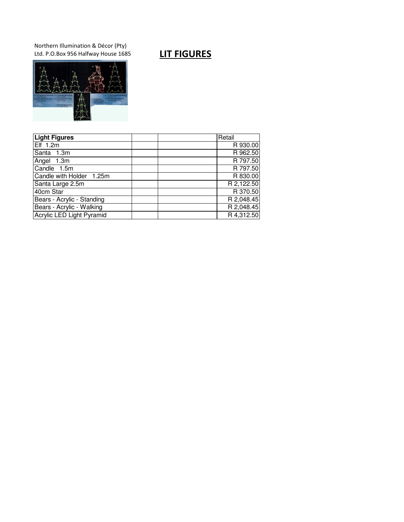Northern Illumination & Décor (Pty) Ltd. P.O.Box 956 Halfway House 1685 **LIT FIGURES** 



| <b>Light Figures</b>       | Retail     |
|----------------------------|------------|
| Elf 1.2m                   | R 930.00   |
| Santa 1.3m                 | R 962.50   |
| Angel 1.3m                 | R 797.50   |
| Candle 1.5m                | R 797.50   |
| Candle with Holder 1.25m   | R 830.00   |
| Santa Large 2.5m           | R 2,122.50 |
| 40cm Star                  | R 370.50   |
| Bears - Acrylic - Standing | R 2,048.45 |
| Bears - Acrylic - Walking  | R 2,048.45 |
| Acrylic LED Light Pyramid  | R 4,312.50 |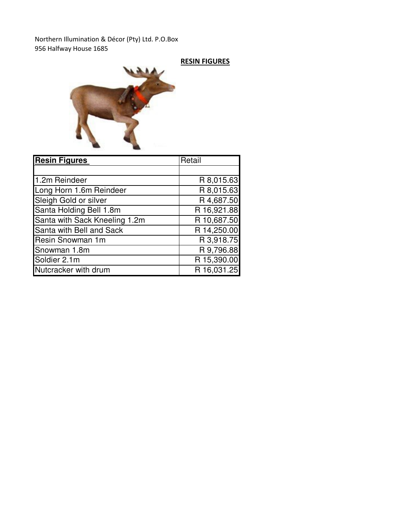Northern Illumination & Décor (Pty) Ltd. P.O.Box 956 Halfway House 1685

## RESIN FIGURES



| <b>Resin Figures</b>          | Retail      |
|-------------------------------|-------------|
|                               |             |
| 1.2m Reindeer                 | R 8,015.63  |
| Long Horn 1.6m Reindeer       | R 8,015.63  |
| Sleigh Gold or silver         | R 4,687.50  |
| Santa Holding Bell 1.8m       | R 16,921.88 |
| Santa with Sack Kneeling 1.2m | R 10,687.50 |
| Santa with Bell and Sack      | R 14,250.00 |
| Resin Snowman 1m              | R 3,918.75  |
| Snowman 1.8m                  | R 9,796.88  |
| Soldier 2.1m                  | R 15,390.00 |
| Nutcracker with drum          | R 16,031.25 |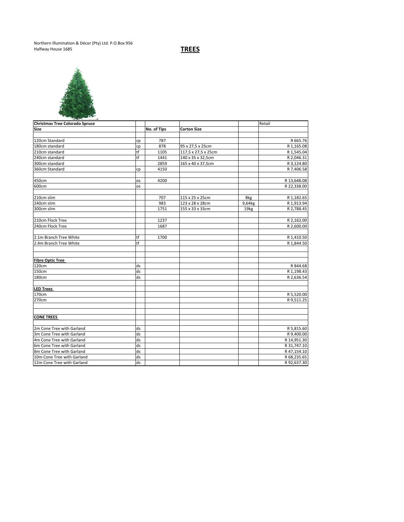Northern Illumination & Décor (Pty) Ltd. P.O.Box 956 Halfway House 1685 **TREES** 



| <b>Christmas Tree Colorado Spruce</b> |    |             |                     |        | Retail      |
|---------------------------------------|----|-------------|---------------------|--------|-------------|
| <b>Size</b>                           |    | No. of Tips | <b>Carton Size</b>  |        |             |
|                                       |    |             |                     |        |             |
| 120cm Standard                        | cp | 787         |                     |        | R 665.76    |
| 180cm standard                        | cp | 878         | 95 x 27,5 x 25cm    |        | R 1,165.08  |
| 210cm standard                        | tf | 1105        | 117,5 x 27,5 x 25cm |        | R 1,545.04  |
| 240cm standard                        | tf | 1441        | 140 x 35 x 32,5cm   |        | R 2,046.31  |
| 300cm standard                        |    | 2859        | 165 x 40 x 37,5cm   |        | R 3,124.80  |
| 360cm Standard                        | cp | 4150        |                     |        | R 7,406.58  |
|                                       |    |             |                     |        |             |
| 450cm                                 | os | 4200        |                     |        | R 13,648.08 |
| 600cm                                 | os |             |                     |        | R 22,338.00 |
|                                       |    |             |                     |        |             |
| 210cm slim                            |    | 707         | 115 x 25 x 25cm     | 8kg    | R 1,182.65  |
| 240cm slim                            |    | 983         | 123 x 28 x 28cm     | 9,64kg | R 1,913.94  |
| 300cm slim                            |    | 1751        | 155 x 33 x 33cm     | 19kg   | R 2,788.45  |
|                                       |    |             |                     |        |             |
| 210cm Flock Tree                      |    | 1237        |                     |        | R 2,162.00  |
| 240cm Flock Tree                      |    | 1687        |                     |        | R 2,600.00  |
|                                       |    |             |                     |        |             |
| 2.1m Branch Tree White                | tf | 1700        |                     |        | R 1,410.50  |
| 2.4m Branch Tree White                | tf |             |                     |        | R 1.844.50  |
|                                       |    |             |                     |        |             |
|                                       |    |             |                     |        |             |
| <b>Fibre Optic Tree</b>               |    |             |                     |        |             |
| 120cm                                 | ds |             |                     |        | R 844.68    |
| 150cm                                 | ds |             |                     |        | R 1,198.43  |
| 180cm                                 | ds |             |                     |        | R 2,636.54  |
|                                       |    |             |                     |        |             |
| <b>LED Trees</b>                      |    |             |                     |        |             |
| 170cm                                 |    |             |                     |        | R 5,520.00  |
| 270cm                                 |    |             |                     |        | R 9,511.25  |
|                                       |    |             |                     |        |             |
|                                       |    |             |                     |        |             |
| <b>CONE TREES</b>                     |    |             |                     |        |             |
|                                       |    |             |                     |        |             |
| 2m Cone Tree with Garland             | ds |             |                     |        | R 5,815.60  |
| 3m Cone Tree with Garland             | ds |             |                     |        | R 9,400.00  |
| 4m Cone Tree with Garland             | ds |             |                     |        | R 14,951.30 |
| 6m Cone Tree with Garland             | ds |             |                     |        | R 31,747.10 |
| 8m Cone Tree with Garland             | ds |             |                     |        | R47,154.10  |
| 10m Cone Tree with Garland            | ds |             |                     |        | R 68,235.65 |
| 12m Cone Tree with Garland            | ds |             |                     |        | R92,637.30  |